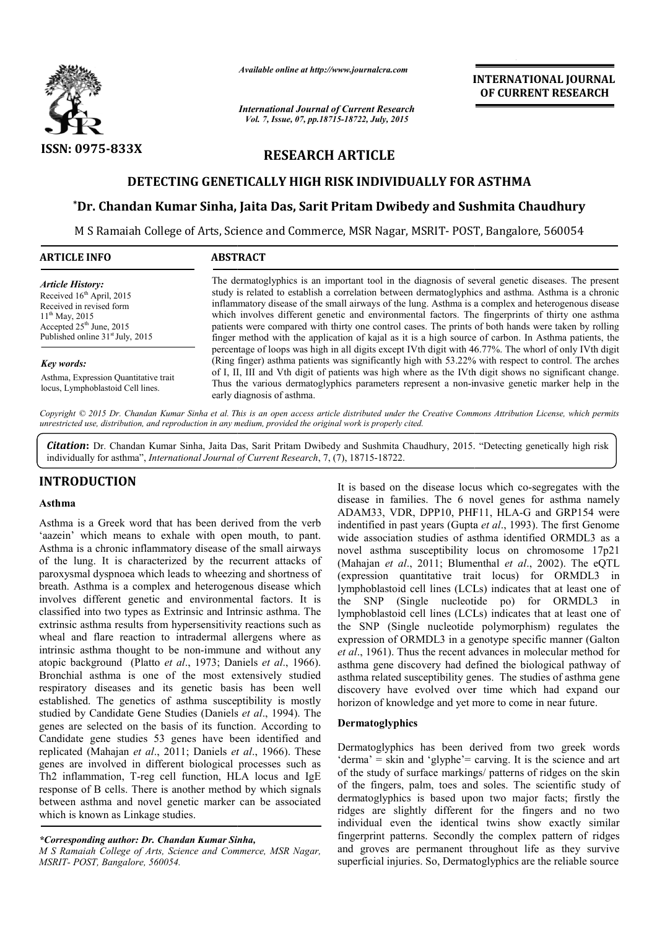

*Available online at http://www.journalcra.com*

*International Journal of Current Research Vol. 7, Issue, 07, pp.18715-18722, July, 2015*

INTERNATIONAL INTERNATIONAL JOURNAL OF CURRENT RESEARCH

# RESEARCH ARTICLE

# DETECTING GENETICALLY HIGH RISK INDIVIDUALLY FOR ASTHMA

# DETECTING GENETICALLY HIGH RISK INDIVIDUALLY FOR ASTHMA<br>Dr. Chandan Kumar Sinha, Jaita Das, Sarit Pritam Dwibedy and Sushmita Chaudhury\*

M S Ramaiah College of Arts, Science and Commerce, MSR Nagar, MSRIT- POST, Bangalore, 560054

| <b>ARTICLE INFO</b>                                                                                                                                                                     | <b>ABSTRACT</b>                                                                                                                                                                                                                                                                                                                                                                                                                                                                                                                                                                                                                        |
|-----------------------------------------------------------------------------------------------------------------------------------------------------------------------------------------|----------------------------------------------------------------------------------------------------------------------------------------------------------------------------------------------------------------------------------------------------------------------------------------------------------------------------------------------------------------------------------------------------------------------------------------------------------------------------------------------------------------------------------------------------------------------------------------------------------------------------------------|
| <b>Article History:</b><br>Received $16th$ April, 2015<br>Received in revised form<br>$11^{th}$ May, 2015<br>Accepted $25th$ June, 2015<br>Published online 31 <sup>st</sup> July, 2015 | The dermatoglyphics is an important tool in the diagnosis of several genetic diseases. The present<br>study is related to establish a correlation between dermatoglyphics and asthma. Asthma is a chronic<br>inflammatory disease of the small airways of the lung. Asthma is a complex and heterogenous disease<br>which involves different genetic and environmental factors. The fingerprints of thirty one asthma<br>patients were compared with thirty one control cases. The prints of both hands were taken by rolling<br>finger method with the application of kajal as it is a high source of carbon. In Asthma patients, the |
| Key words:<br>Asthma, Expression Quantitative trait<br>locus, Lymphoblastoid Cell lines.                                                                                                | percentage of loops was high in all digits except IVth digit with 46.77%. The whorl of only IVth digit<br>(Ring finger) asthma patients was significantly high with 53.22% with respect to control. The arches<br>of I, II, III and Vth digit of patients was high where as the IVth digit shows no significant change.<br>Thus the various dermatoglyphics parameters represent a non-invasive genetic marker help in the<br>early diagnosis of asthma.                                                                                                                                                                               |

Copyright © 2015 Dr. Chandan Kumar Sinha et al. This is an open access article distributed under the Creative Commons Attribution License, which permits *unrestricted use, distribution, and reproduction in any medium, provided the original work is properly cited.*

Citation: Dr. Chandan Kumar Sinha, Jaita Das, Sarit Pritam Dwibedy and Sushmita Chaudhury, 2015. "Detecting genetically high risk individually for asthma", *International Journal of Current Research*, 7, (7), 18715-18722.

# INTRODUCTION

#### Asthma

Asthma is a Greek word that has been derived from the verb 'aazein' which means to exhale with open mouth, to pant. Asthma is a chronic inflammatory disease of the small airways of the lung. It is characterized by the recurrent attacks of paroxysmal dyspnoea which leads to wheezing and shortness of breath. Asthma is a complex and heterogenous disease which involves different genetic and environmental factors. It is classified into two types as Extrinsic and Intrinsic asthma. The extrinsic asthma results from hypersensitivity reactions such as wheal and flare reaction to intradermal allergens where as intrinsic asthma thought to be non-immune and without any atopic background (Platto *et al*., 1973; Daniels *et al*., 1966). Bronchial asthma is one of the most extensively studied respiratory diseases and its genetic basis has been well established. The genetics of asthma susceptibility is mostly studied by Candidate Gene Studies (Daniels Daniels *et al*., 1994). The genes are selected on the basis of its function. According to Candidate gene studies 53 genes have been identified and replicated (Mahajan *et al*., 2011; Daniels *et al* ., 1966). These genes are involved in different biological processes such as Th2 inflammation, T-reg cell function, HLA locus and IgE response of B cells. There is another method by which signals between asthma and novel genetic marker can be associated which is known as Linkage studies. haracterized by the rec<br>
u which leads to wheezing<br>
complex and heterogeno<br>
enetic and environmen<br>
pes as Extrinsic and Intr<br>
Its from hypersensitivity<br>
ction to intradermal all<br>
ught to be non-immune

#### \*Corresponding author: Dr. Chandan Kumar Sinha,

*M S Ramaiah College of Arts, Science and Commerce, MSR Nagar, MSRIT- POST, Bangalore, 560054.*

It is based on the disease locus which co-segregates with the disease in families. The 6 novel genes for asthma namely disease in families. The 6 novel genes for asthma namely ADAM33, VDR, DPP10, PHF11, HLA-G and GRP154 were indentified in past years (Gupta *et al.*, 1993). The first Genome wide association studies of asthma identified ORMDL3 as a wide association studies of asthma identified ORMDL3 as a novel asthma susceptibility locus on chromosome 17p21 (Mahajan *et al*., 2011; Blumenthal *et al*., 2002). The eQTL (expression quantitative trait locus) for ORMDL3 in (expression quantitative trait locus) for ORMDL3 in lymphoblastoid cell lines (LCLs) indicates that at least one of the SNP (Single nucleotide po) for ORMDL3 in lymphoblastoid cell lines (LCLs) indicates that at least one of the SNP (Single nucleotide polymorphism) regulates the expression of ORMDL3 in a genotype specific manner (Galton *et al*., 1961). Thus the recent advances in molecular method for asthma gene discovery had defined the biological pathway of asthma related susceptibility genes. The studies of asthma gene discovery have evolved over time which had expand our horizon of knowledge and yet more to come in near future. hoblastoid cell lines (LCLs) indicates that at least one of SNP (Single nucleotide polymorphism) regulates the ession of ORMDL3 in a genotype specific manner (Galton 961). Thus the recent advances in molecular method gene discovery had defined the biological pathway related susceptibility genes. The studies of asthma gery have evolved over time which had expand come in near future.

#### Dermatoglyphics

Dermatoglyphics has been derived from two greek words 'derma' = skin and 'glyphe'= carving. It is the science and art of the study of surface markings/ patterns of ridges on the skin of the fingers, palm, toes and soles. The scientific study of dermatoglyphics is based upon two major facts; firstly the ridges are slightly different for the fingers and no two individual even the identical twins show exactly similar fingerprint patterns. Secondly the complex pattern of ridges and groves are permanent throughout life as they survive individual even the identical twins show exactly similar fingerprint patterns. Secondly the complex pattern of ridges and groves are permanent throughout life as they survive superficial injuries. So, Dermatoglyphics are t toglyphics has been derived from two greek words<br>  $n'$  = skin and 'glyphe'= carving. It is the science and art<br>
study of surface markings/ patterns of ridges on the skin<br>
fingers, palm, toes and soles. The scientific stud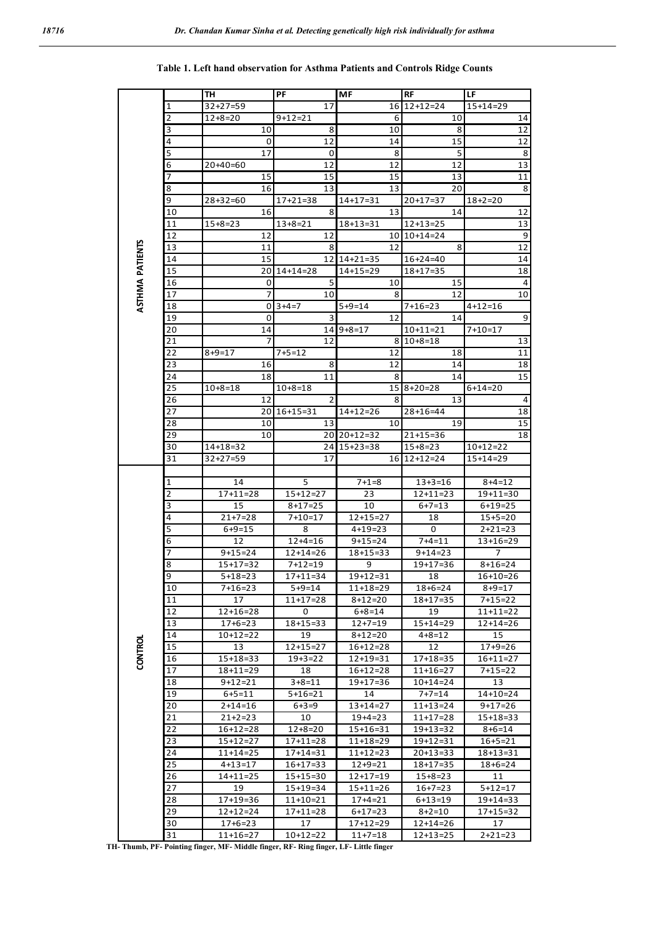|                 |                | TН                        | РF                       | МF                    | RF                   | LF                       |
|-----------------|----------------|---------------------------|--------------------------|-----------------------|----------------------|--------------------------|
|                 | 1              | $32 + 27 = 59$            | 17                       | 16                    | $12+12=24$           | $15+14=29$               |
|                 | $\overline{2}$ | $12 + 8 = 20$             | 9+12=21                  | 6                     | 10                   | 14                       |
|                 | 3              | 10                        | 8                        | 10                    | 8                    | 12                       |
|                 | 4              | 0                         | 12                       | 14                    | 15                   | 12                       |
|                 | 5              | 17                        | 0                        | 8                     | 5                    | 8                        |
|                 | 6              | $20+40=60$                | 12                       | 12                    | 12                   | 13                       |
|                 | 7              | 15                        | 15                       | 15                    | 13                   | 11                       |
|                 | 8              | 16                        | 13                       | 13                    | 20                   | 8                        |
|                 | 9              | $28 + 32 = 60$            | $17 + 21 = 38$           | $14 + 17 = 31$        | $20+17=37$           | $18 + 2 = 20$            |
| ASTHMA PATIENTS | 10             | 16                        | 8                        | 13                    | 14                   | 12                       |
|                 | 11             | $15+8=23$                 | $13 + 8 = 21$            | $18 + 13 = 31$        | $12 + 13 = 25$       | 13                       |
|                 | 12             | 12                        | 12                       |                       | $10$   $10+14=24$    | 9                        |
|                 | 13             | 11                        | 8                        | 12                    | 8                    | 12                       |
|                 | 14             | 15                        | 12 <sub>l</sub>          | $14 + 21 = 35$        | $16 + 24 = 40$       | 14                       |
|                 | 15             | 20                        | $14 + 14 = 28$           | $14 + 15 = 29$        | 18+17=35             | 18                       |
|                 | 16             | 0                         | 5                        | 10                    | 15                   | 4                        |
|                 | 17             | 7                         | 10                       | 8                     | 12                   | 10                       |
|                 | 18             | 0                         | $3+4=7$                  | $5+9=14$              | $7+16=23$            | $4 + 12 = 16$            |
|                 | 19<br>20       | 0<br>14                   | 3<br>14                  | 12<br>$9 + 8 = 17$    | 14<br>$10+11=21$     | 9<br>$7+10=17$           |
|                 | 21             | 7                         | 12                       |                       | $8110 + 8 = 18$      | 13                       |
|                 | 22             | $8 + 9 = 17$              | $7 + 5 = 12$             | 12                    | 18                   | 11                       |
|                 | 23             | 16                        | 8                        | 12                    | 14                   | 18                       |
|                 | 24             | 18                        | 11                       | 8                     | 14                   | 15                       |
|                 | 25             | $10+8=18$                 | $10+8=18$                |                       | $15 8+20=28$         | $6+14=20$                |
|                 | 26             | 12                        | 2                        | 8                     | 13                   | 4                        |
|                 | 27             | 20                        | $16+15=31$               | $14 + 12 = 26$        | $28+16=44$           | 18                       |
|                 | 28             | 10                        | 13                       | 10                    | 19                   | 15                       |
|                 | 29             | 10                        |                          | $20$   20+12=32       | $21+15=36$           | 18                       |
|                 | 30             | $14 + 18 = 32$            |                          | 24 15 + 23 = 38       | $15 + 8 = 23$        | $10+12=22$               |
|                 | 31             | $32 + 27 = 59$            | 17                       | 16                    | $12 + 12 = 24$       | 15+14=29                 |
|                 |                |                           |                          |                       |                      |                          |
|                 | 1              | 14                        | 5                        | $7 + 1 = 8$           | $13 + 3 = 16$        | $8 + 4 = 12$             |
|                 | 2              | 17+11=28                  | $15+12=27$               | 23                    | 12+11=23             | 19+11=30                 |
|                 | 3              | 15                        | $8 + 17 = 25$            | 10                    | $6 + 7 = 13$         | $6+19=25$                |
|                 | 4              | $21+7=28$                 | $7+10=17$                | $12 + 15 = 27$        | 18                   | $15+5=20$                |
|                 | 5              | $6 + 9 = 15$              | 8                        | $4 + 19 = 23$         | 0                    | $2+21=23$                |
|                 | 6              | 12                        | $12+4=16$                | $9+15=24$             | $7 + 4 = 11$         | $13+16=29$               |
|                 | 7              | $9+15=24$                 | $12 + 14 = 26$           | 18+15=33              | $9+14=23$            | 7                        |
|                 | 8<br>9         | 15+17=32                  | $7+12=19$                | 9                     | 19+17=36             | $8 + 16 = 24$            |
|                 | 10             | $5+18=23$<br>7+16=23      | 17+11=34<br>$5 + 9 = 14$ | 19+12=31<br>11+18=29  | 18<br>18+6=24        | 16+10=26<br>$8 + 9 = 17$ |
|                 | 11             | 17                        | $11+17=28$               | $8 + 12 = 20$         | 18+17=35             | 7+15=22                  |
|                 | 12             | 12+16=28                  | 0                        | $6 + 8 = 14$          | 19                   | 11+11=22                 |
|                 | 13             | $17 + 6 = 23$             | 18+15=33                 | 12+7=19               | 15+14=29             | 12+14=26                 |
|                 | 14             | $10+12=22$                | 19                       | $8 + 12 = 20$         | $4 + 8 = 12$         | 15                       |
| CONTROL         | 15             | 13                        | $12+15=27$               | 16+12=28              | 12                   | 17+9=26                  |
|                 | 16             | 15+18=33                  | $19+3=22$                | 12+19=31              | $17 + 18 = 35$       | $16 + 11 = 27$           |
|                 | 17             | 18+11=29                  | 18                       | 16+12=28              | 11+16=27             | $7+15=22$                |
|                 | 18             | $9+12=21$                 | $3 + 8 = 11$             | 19+17=36              | 10+14=24             | 13                       |
|                 | 19             | $6 + 5 = 11$              | 5+16=21                  | 14                    | $7+7=14$             | $14 + 10 = 24$           |
|                 | 20             | $2 + 14 = 16$             | $6 + 3 = 9$              | 13+14=27              | 11+13=24             | $9+17=26$                |
|                 | 21             | $21+2=23$                 | 10                       | $19+4=23$             | 11+17=28             | 15+18=33                 |
|                 | 22             | 16+12=28                  | $12 + 8 = 20$            | 15+16=31              | 19+13=32             | $8 + 6 = 14$             |
|                 | 23             | 15+12=27                  | $17+11=28$               | 11+18=29              | 19+12=31             | 16+5=21                  |
|                 | 24             | $11+14=25$                | 17+14=31                 | 11+12=23              | 20+13=33             | 18+13=31                 |
|                 | 25             | $4 + 13 = 17$             | $16+17=33$               | $12+9=21$             | 18+17=35             | 18+6=24                  |
|                 | 26             | 14+11=25                  | 15+15=30                 | 12+17=19              | 15+8=23              | 11                       |
|                 | 27             | 19                        | $15+19=34$               | 15+11=26              | $16+7=23$            | 5+12=17                  |
|                 | 28             | 17+19=36                  | $11+10=21$               | 17+4=21               | 6+13=19              | 19+14=33                 |
|                 | 29             | 12+12=24<br>$17 + 6 = 23$ | $17+11=28$               | $6 + 17 = 23$         | $8 + 2 = 10$         | 17+15=32                 |
|                 | 30<br>31       | $11+16=27$                | 17<br>$10+12=22$         | 17+12=29<br>$11+7=18$ | 12+14=26<br>12+13=25 | 17<br>$2 + 21 = 23$      |
|                 |                |                           |                          |                       |                      |                          |

## Table 1. Left hand observation for Asthma Patients and Controls Ridge Counts

TH- Thumb, PF- Pointing finger, MF- Middle finger, RF- Ring finger, LF- Little finger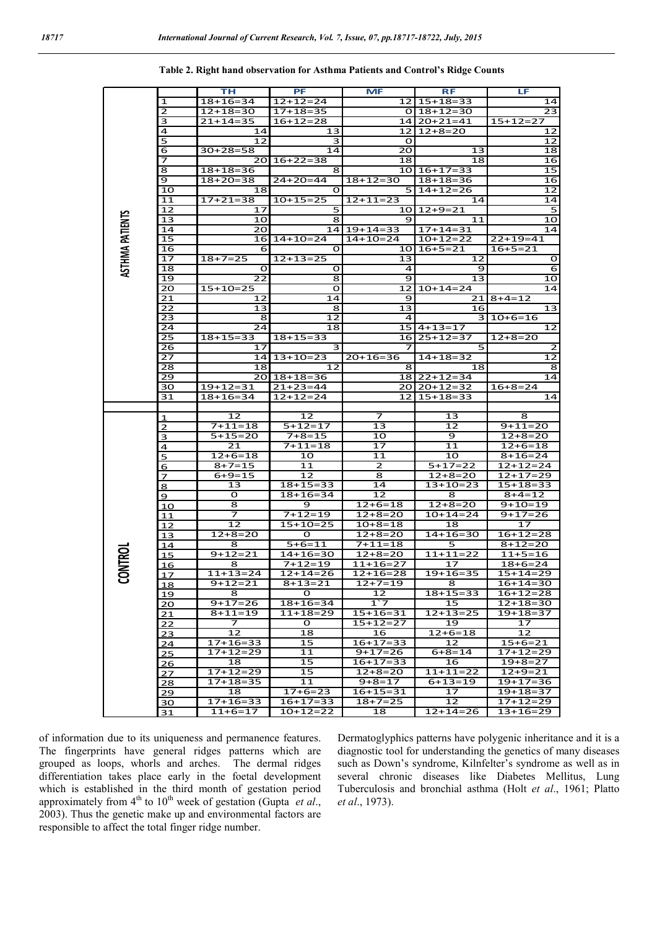|                        |                 | ΤН                                     | PF                       | <b>MF</b>        | RF              | LF                    |
|------------------------|-----------------|----------------------------------------|--------------------------|------------------|-----------------|-----------------------|
|                        | 1               | 18+16=34                               | $12+12=24$               | 121              | $15+18=33$      | 14                    |
|                        | 2               | 12+18=30                               | $17+18=35$               |                  | $0 18+12=30$    | 23                    |
|                        | 3               | $21+14=35$                             | $16+12=28$               | 14 I             | $20+21=41$      |                       |
|                        |                 |                                        |                          |                  |                 | $15+12=27$            |
|                        | 4               | 14                                     | 13                       | 12               | $12+8=20$       | 12                    |
|                        | 5               | 12                                     | з                        | O                |                 | 12                    |
|                        | 6               | $30+28=58$                             | 14                       | 20               | 13              | 18                    |
|                        |                 |                                        |                          |                  |                 |                       |
|                        | 7               | 20                                     | $16+22=38$               | 18               | 18              | 16                    |
|                        | 8               | 18+18=36                               | 8                        |                  | $10$   16+17=33 | 15                    |
|                        | 9               | $18+20=38$                             | $24+20=44$               | $18+12=30$       | $18+18=36$      | 16                    |
|                        | 10              | 18                                     | O                        | 5                | $14+12=26$      | 12                    |
|                        |                 |                                        |                          |                  |                 |                       |
|                        | 11              | 17+21=38                               | $10+15=25$               | $12+11=23$       | 14              | 14                    |
|                        | 12              | 17                                     | 5                        |                  | $10 12+9=21$    | 5                     |
|                        | 13              | 10                                     | 8                        | 9                | 11              | 10                    |
| <b>ASTHMA PATIENTS</b> |                 |                                        |                          |                  | $17+14=31$      |                       |
|                        | 14              | 20                                     |                          | 14 19 + 14 = 33  |                 | 14                    |
|                        | 15              | 16                                     | $14+10=24$               | $14+10=24$       | $10+12=22$      | $22+19=41$            |
|                        | 16              | 6                                      | O                        |                  | $10$   16+5=21  | $16 + 5 = 21$         |
|                        | 17              | $18+7=25$                              | $12+13=25$               | 13               | 12              | O                     |
|                        |                 |                                        |                          |                  |                 |                       |
|                        | 18              | O                                      | o                        | $\overline{a}$   | 9               | 6                     |
|                        | 19              | 22                                     | 8                        | 9                | 13              | 10                    |
|                        | 20              | $15+10=25$                             | O                        | 12               | $10+14=24$      | 14                    |
|                        |                 |                                        |                          |                  |                 |                       |
|                        | 21              | 12                                     | 14                       | 9                | 21              | $8 + 4 = 12$          |
|                        | 22              | 13                                     | 8                        | 13               | 16              | 13                    |
|                        | 23              | 8                                      | 12                       | 4                | 3               | $10+6=16$             |
|                        | 24              | 24                                     | 18                       | 15 l             | $4 + 13 = 17$   | $\overline{1}2$       |
|                        |                 |                                        |                          |                  |                 |                       |
|                        | $\overline{25}$ | $18+15=33$                             | $18+15=33$               | 16               | $25+12=37$      | $12+8=20$             |
|                        | 26              | 17                                     | 3                        | 7                | 5               | $\overline{2}$        |
|                        | $\overline{27}$ | 14                                     | $13+10=23$               | $20+16=36$       | $14+18=32$      | 12                    |
|                        |                 |                                        |                          |                  |                 |                       |
|                        | 28              | 18                                     | 12                       | 8                | 18              | 8                     |
|                        | 29              | 20                                     | $18+18=36$               |                  | 18 22 + 12 = 34 | 14                    |
|                        | 30              | $19+12=31$                             | $21+23=44$               | 20 I             | $20+12=32$      | $16+8=24$             |
|                        | 31              | $18+16=34$                             | $12+12=24$               | 12               | $15+18=33$      | 14                    |
|                        |                 |                                        |                          |                  |                 |                       |
|                        |                 |                                        |                          |                  |                 |                       |
|                        |                 |                                        |                          |                  |                 |                       |
|                        | $\mathbf 1$     | 12                                     | 12                       | 7                | 13              | 8                     |
|                        |                 | $7 + 11 = 18$                          | $5 + 12 = 17$            | 13               | 12              | $9+11=20$             |
|                        | <u>2</u>        |                                        |                          |                  |                 |                       |
|                        | 3               | $5 + 15 = 20$                          | 7+8=15                   | 10               | 9               | $12+8=20$             |
|                        | $\overline{4}$  | 21                                     | 7+11=18                  | 17               | 11              | $12+6=18$             |
|                        |                 | $12+6=18$                              | 10                       | 11               | 10              | $8+16=24$             |
|                        | $\overline{5}$  |                                        |                          | 2                |                 |                       |
|                        | 6               | $8 + 7 = 15$                           | 11                       |                  | $5+17=22$       | 12+12=24              |
|                        | $\overline{z}$  | 6+9=15                                 | 12                       | 8                | $12+8=20$       | 12+17=29              |
|                        | 8               | 13                                     | $18+15=33$               | 14               | 13+10=23        | $15+18=33$            |
|                        | 9               | o                                      | 18+16=34                 | 12               | 8               | $8 + 4 = 12$          |
|                        |                 |                                        |                          |                  |                 |                       |
|                        | <u> 10</u>      | 8                                      | 9                        | $12+6=18$        | $12+8=20$       | 9+10=19               |
|                        | <u> 11</u>      | 7                                      | $7+12=19$                | $12+8=20$        | $10+14=24$      | $\overline{9}$ +17=26 |
|                        | 12              | 12                                     | $15+10=25$               | $10+8=18$        | 18              | 17                    |
|                        |                 | $12+8=20$                              | O                        | $12+8=20$        | 14+16=30        | $16+12=28$            |
|                        | 13              |                                        |                          |                  |                 |                       |
|                        | 14              | 8                                      | $5 + 6 = 11$             | $7 + 11 = 18$    | 5               | $8 + 12 = 20$         |
|                        | <u> 15</u>      | $9 + 12 = 21$                          | 14+16=30                 | $12+8=20$        | $11+11=22$      | $11+5=16$             |
|                        | 16              | 8                                      | 7+12=19                  | 11+16=27         | 17              | $18+6=24$             |
|                        |                 | $11+13=24$                             | 12+14=26                 | 12+16=28         | $19+16=35$      | 15+14=29              |
| <b>CONTROL</b>         | 17              |                                        |                          |                  |                 |                       |
|                        | <u> 18 </u>     | $9+12=21$                              | 8+13=21                  | $12+7=19$        | 8               | $16+14=30$            |
|                        | 19              | 8                                      | $\mathbf{O}$             | 12               | $18 + 15 = 33$  | $16+12=28$            |
|                        | 20              | $9+17=26$                              | 18+16=34                 | $\overline{1}$ 7 | $\overline{15}$ | 12+18=30              |
|                        |                 | $8 + 11 = 19$                          | 11+18=29                 | $15+16=31$       | 12+13=25        | 19+18=37              |
|                        | 21              |                                        |                          |                  |                 |                       |
|                        | 22              | 7                                      | $\mathbf{o}$             | $15+12=27$       | 19              | 17                    |
|                        | 23              | 12                                     | 18                       | 16               | $12+6=18$       | 12                    |
|                        | 24              | $17+16=33$                             | 15                       | $16+17=33$       | 12              | 15+6=21               |
|                        |                 |                                        | 11                       |                  |                 | 17+12=29              |
|                        | 25              | $17+12=29$                             |                          | $9+17=26$        | $6 + 8 = 14$    |                       |
|                        | 26              | 18                                     | 15                       | 16+17=33         | 16              | $19+8=27$             |
|                        | 27              | $17+12=29$                             | 15                       | $12+8=20$        | 11+11=22        | $12+9=21$             |
|                        | 28              | $17+18=35$                             | 11                       | $9 + 8 = 17$     | $6 + 13 = 19$   | $19+17=36$            |
|                        |                 |                                        |                          |                  |                 |                       |
|                        | 29              | 18                                     | $17+6=23$                | $16 + 15 = 31$   | 17              | $19+18=37$            |
|                        | 30<br>31        | $17+16=33$<br>$\overline{1}1 + 6 = 17$ | $16+17=33$<br>$10+12=22$ | $18+7=25$<br>18  | 12<br>12+14=26  | 17+12=29<br>13+16=29  |

Table 2. Right hand observation for Asthma Patients and Control's Ridge Counts

of information due to its uniqueness and permanence features. The fingerprints have general ridges patterns which are grouped as loops, whorls and arches. The dermal ridges differentiation takes place early in the foetal development which is established in the third month of gestation period approximately from  $4<sup>th</sup>$  to  $10<sup>th</sup>$  week of gestation (Gupta *et al.*, 2003). Thus the genetic make up and environmental factors are responsible to affect the total finger ridge number.

Dermatoglyphics patterns have polygenic inheritance and it is a diagnostic tool for understanding the genetics of many diseases such as Down's syndrome, Kilnfelter's syndrome as well as in several chronic diseases like Diabetes Mellitus, Lung Tuberculosis and bronchial asthma (Holt *et al*., 1961; Platto *et al*., 1973).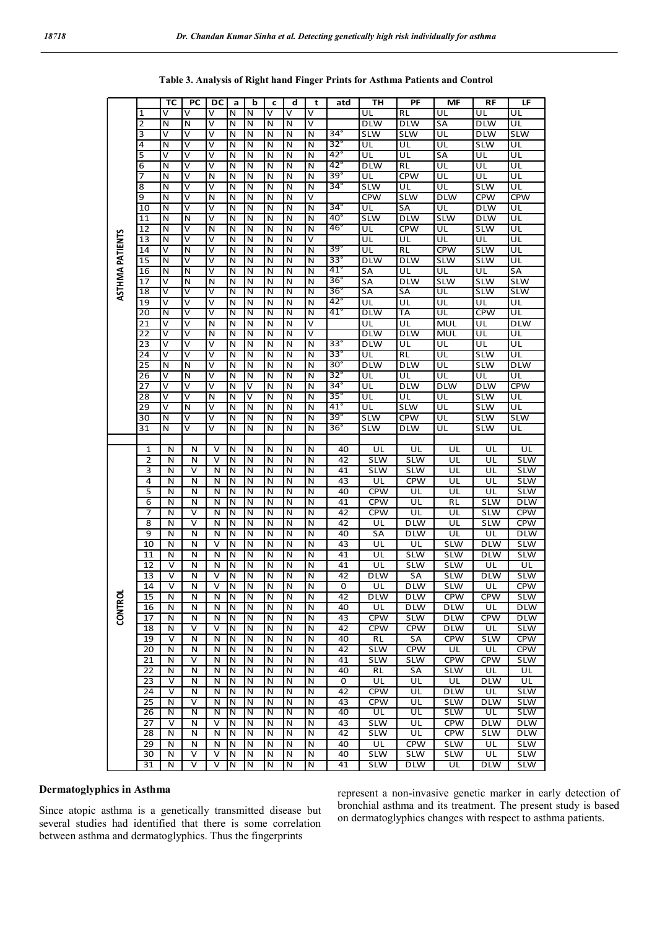|                 |                 | ТC                      | $\overline{PC}$         | DC                      | a                       | b                       | $\mathbf c$ | d                       | t                       | atd             | TН                       | PF                       | <b>MF</b>                | <b>RF</b>                     | LF                       |
|-----------------|-----------------|-------------------------|-------------------------|-------------------------|-------------------------|-------------------------|-------------|-------------------------|-------------------------|-----------------|--------------------------|--------------------------|--------------------------|-------------------------------|--------------------------|
|                 | 1               | v                       | ٧                       | v                       | Ν                       | N                       | V           | ٧                       | V                       |                 | UL                       | <b>RL</b>                | UL                       | UL                            | UL                       |
|                 | 2               | N                       | N                       | $\overline{\mathsf{v}}$ | N                       | N                       | И           | N                       | $\overline{\mathsf{v}}$ |                 | <b>DLW</b>               | <b>DLW</b>               | SA                       | <b>DLW</b>                    | UL                       |
|                 | 3               | v                       | V                       | v                       | Ν                       | Ν                       | N           | N                       | N                       | $34^\circ$      | <b>SLW</b>               | <b>SLW</b>               | UL                       | <b>DLW</b>                    | SLW                      |
|                 | 4               | N                       | ٧                       | V                       | N                       | N                       | N           | N                       | N                       | $32^{\circ}$    | UL                       | UL                       | $\overline{u}$           | <b>SLW</b>                    | UL                       |
|                 | 5               | v                       | ٧                       | v                       | N                       | $\overline{\mathsf{N}}$ | N           | $\overline{\mathsf{N}}$ | $\overline{\mathsf{N}}$ | $42^{\circ}$    | UL                       | UL                       | SA                       | UL                            | UL                       |
|                 | 6               | N                       | ٧                       | V                       | N                       | $\overline{\mathsf{N}}$ | Ν           | N                       | N                       | 42°             | <b>DLW</b>               | RL                       | UL                       | UL                            | UL                       |
|                 | 7               | N                       | $\overline{\mathsf{v}}$ | N                       | N                       | N                       | N           | Ñ                       | Ñ                       | 39 <sup>°</sup> | UL                       | <b>CPW</b>               | UL                       | UL                            | UL                       |
|                 | 8               | N                       | ٧                       | ٧                       | Ν                       | N                       | Ν           | N                       | N                       | $34^\circ$      | <b>SLW</b>               | UL                       | $\overline{\mathsf{U}}$  | <b>SLW</b>                    | UL                       |
|                 | 9               | N                       | ٧                       | N                       | Ν                       | Ν                       | N           | N                       | V                       |                 | <b>CPW</b>               | <b>SLW</b>               | <b>DLW</b>               | <b>CPW</b>                    | <b>CPW</b>               |
|                 | 10              | N                       | ٧                       | ٧                       | N                       | Ñ                       | N           | $\overline{\mathsf{N}}$ | N                       | 34°             | UL                       | SA                       | UL                       | <b>DLW</b>                    | UL                       |
|                 | 11              | N                       | N                       | V                       | N                       | $\overline{\mathsf{N}}$ | N           | Ñ                       | N                       | $40^{\circ}$    | <b>SLW</b>               | <b>DLW</b>               | <b>SLW</b>               | <b>DLW</b>                    | UL                       |
|                 | $\overline{12}$ | N                       | $\overline{\mathsf{v}}$ | N                       | $\overline{\mathsf{N}}$ | N                       | Ν           | N                       | $\overline{\mathsf{N}}$ | 46°             | UL                       | <b>CPW</b>               | $\overline{\mathsf{U}}$  | <b>SLW</b>                    | UL                       |
|                 | 13              | N                       | ٧                       | ٧                       | Ν                       | Ñ                       | Ν           | N                       | $\overline{\mathsf{v}}$ |                 | UL                       | UL                       | UL                       | UL                            | $\overline{\mathsf{U}}$  |
|                 | 14              | $\vee$                  | N                       | $\overline{\mathsf{v}}$ | Ν                       | N                       | N           | N                       | N                       | 39°             | UL                       | RL                       | <b>CPW</b>               | <b>SLW</b>                    | UL                       |
| ASTHMA PATIENTS | $\overline{15}$ | N                       | $\overline{\mathsf{v}}$ | ٧                       | N                       | N                       | N           | $\overline{\mathsf{N}}$ | $\overline{\mathsf{N}}$ | 33 <sup>°</sup> | <b>DLW</b>               | <b>DLW</b>               | <b>SLW</b>               | <b>SLW</b>                    | UL                       |
|                 | 16              | N                       | $\overline{\mathsf{N}}$ | $\vee$                  | N                       | Ñ                       | N           | Ñ                       | $\overline{\mathsf{N}}$ | $41^\circ$      | SA                       | UL                       | $\overline{u}$           | UL                            | SΑ                       |
|                 | 17              | v                       | $\overline{\mathsf{N}}$ | N                       | $\overline{\mathsf{N}}$ | $\overline{\mathsf{N}}$ | N           | Ñ                       | $\overline{\mathsf{N}}$ | 36°             | SA                       | <b>DLW</b>               | <b>SLW</b>               | <b>SLW</b>                    | <b>SLW</b>               |
|                 | 18              | v                       | ٧                       | V                       | N                       | Ñ                       | N           | Ñ                       | N                       | 36°             | SA                       | SΑ                       | $\overline{\mathsf{U}}$  | SLW                           | SLW                      |
|                 | 19              | $\vee$                  | $\overline{\mathsf{v}}$ | $\overline{\mathsf{v}}$ | N                       | N                       | N           | N                       | N                       | 42°             | $\overline{\mathsf{U}}$  | $\overline{\mathsf{U}}$  | $\overline{\mathsf{U}}$  | UL                            | UL                       |
|                 | 20              | N                       | ٧                       | v                       | Ν                       | Ν                       | Ν           | N                       | Ν                       | 41°             | <b>DLW</b>               | TA                       | UL                       | <b>CPW</b>                    | UL                       |
|                 | 21              | v                       | ٧                       | N                       | N                       | $\overline{\mathsf{N}}$ | N           | $\overline{\mathsf{N}}$ | $\overline{\mathsf{v}}$ |                 | UL                       | $\overline{\mathsf{U}}$  | <b>MUL</b>               | UL                            | <b>DLW</b>               |
|                 | 22              | $\vee$                  | ٧                       | N                       | N                       | N                       | N           | N                       | ٧                       |                 | <b>DLW</b>               | <b>DLW</b>               | MUL                      | UL                            | UL                       |
|                 | 23              | v                       | ٧                       | v                       | Ν                       | Ñ                       | Ν           | N                       | N                       | 33°             | <b>DLW</b>               | UL                       | UL                       | UL                            | UL                       |
|                 | 24              | v                       | $\overline{\mathsf{v}}$ | $\overline{\mathsf{v}}$ | N                       | Ñ                       | Ν           | N                       | N                       | $33^\circ$      | UL                       | RL                       | UL                       | <b>SLW</b>                    | UL                       |
|                 | $\overline{25}$ | N                       | N                       | ٧                       | Ν                       | $\overline{\mathsf{N}}$ | Ν           | N                       | N                       | 30 <sup>°</sup> | <b>DLW</b>               | <b>DLW</b>               | $\overline{\mathsf{U}}$  | <b>SLW</b>                    | <b>DLW</b>               |
|                 | 26              | v                       | N                       | V                       | Ν                       | Ν                       | Ν           | N                       | N                       | 32°             | UL                       | UL                       | $\overline{\mathsf{U}}$  | UL                            | UL                       |
|                 | 27              | V                       | V                       | ٧                       | N                       | $\overline{\mathsf{v}}$ | N           | $\overline{\mathsf{N}}$ | N                       | $34^\circ$      | UL                       | <b>DLW</b>               | <b>DLW</b>               | <b>DLW</b>                    | <b>CPW</b>               |
|                 | 28              | v                       | $\overline{\mathsf{v}}$ | N                       | N                       | $\overline{\mathsf{v}}$ | N           | $\overline{\mathsf{N}}$ | N                       | 35°             | UL                       | UL                       | $\overline{u}$           | <b>SLW</b>                    | UL                       |
|                 | 29              | v                       | $\overline{N}$          | V                       | N                       | N                       | N           | N                       | $\overline{\mathsf{N}}$ | $41^{\circ}$    | UL                       | <b>SLW</b>               | $\overline{\mathsf{U}}$  | <b>SLW</b>                    | UL                       |
|                 | 30              | N                       | ٧                       | ٧                       | Ν                       | N                       | Ν           | N                       | Ñ                       | 39°             | <b>SLW</b>               | <b>CPW</b>               | $\overline{\mathsf{U}}$  | SLW                           | SLW                      |
|                 | 31              | N                       | $\overline{\mathsf{v}}$ | V                       | N                       | N                       | N           | N                       | N                       | $36^{\circ}$    | <b>SLW</b>               | <b>DLW</b>               | UL                       | <b>SLW</b>                    | UL                       |
|                 |                 |                         |                         |                         |                         |                         |             |                         |                         |                 |                          |                          |                          |                               |                          |
|                 | 1               | N                       | N                       | v                       | N                       | N                       | N           | N                       | N                       | 40              | UL                       | UL                       | UL                       | UL                            | $\overline{\mathsf{U}}$  |
|                 | 2               | N                       | N                       | V                       | N                       | $\overline{N}$          | N           | N                       | N                       | 42              | <b>SLW</b>               | <b>SLW</b>               | UL                       | UL                            | <b>SLW</b>               |
|                 | 3               | N                       | v                       | N                       | $\overline{\mathsf{N}}$ | $\overline{\mathsf{N}}$ | N           | N                       | Ν                       | 41              | <b>SLW</b>               | <b>SLW</b>               | $\overline{\mathsf{U}}$  | $\overline{\mathsf{U}}$       | <b>SLW</b>               |
|                 | 4               | N                       | N                       | N                       | N                       | N                       | Ν           | N                       | $\overline{\mathsf{N}}$ | 43              | $\overline{\mathsf{U}}$  | <b>CPW</b>               | $\overline{\mathsf{U}}$  | $\overline{\mathsf{U}}$       | <b>SLW</b>               |
|                 | 5               | N                       | N                       | N                       | N                       | Ν                       | Ν           | N                       | N                       | 40              | <b>CPW</b>               | UL                       | $\overline{\mathsf{U}}$  | UL                            | <b>SLW</b>               |
|                 | $\overline{6}$  | N                       | N                       | N                       | N                       | Ñ                       | N           | $\overline{\mathsf{N}}$ | N                       | 41              | <b>CPW</b>               | UL                       | RL                       | <b>SLW</b>                    | <b>DLW</b>               |
|                 | 7               | N                       | V                       | N                       | N                       | N                       | N           | N                       | N                       | 42              | <b>CPW</b>               | UL                       | UL                       | <b>SLW</b>                    | <b>CPW</b>               |
|                 | 8               | N                       | v                       | N                       | N                       | $\overline{\mathsf{N}}$ | Ν           | N                       | Ν                       | 42              | UL                       | <b>DLW</b>               | UL                       | <b>SLW</b>                    | <b>CPW</b>               |
|                 | $\overline{9}$  | N                       | N                       | N                       | N                       | N                       | N           | $\overline{\mathsf{N}}$ | N                       | 40              | SA                       | <b>DLW</b>               | UL                       | UL                            | <b>DLW</b>               |
|                 | 10              | N                       | N                       | v                       | N                       | Ν                       | Ν           | N                       | N                       | 43              | UL                       | UL                       | <b>SLW</b>               | <b>DLW</b>                    | <b>SLW</b>               |
|                 | 11              | N                       | N                       | N                       | Ν                       | Ν                       | N           | N                       | Ν                       | 41              | UL                       | <b>SLW</b>               | <b>SLW</b>               | <b>DLW</b>                    | <b>SLW</b>               |
|                 | 12              | V                       | N                       | N                       | N                       | N                       | Ν           | N                       | N                       | 41              | UL                       | <b>SLW</b>               | <b>SLW</b>               | UL                            | UL                       |
|                 | 13              | $\overline{\mathsf{v}}$ | Ν                       | ٧                       | $\overline{N}$          | Ñ                       | Ν           | Ñ                       | N                       | 42              | <b>DLW</b>               | SΑ                       | <b>SLW</b>               | <b>DLW</b>                    | <b>SLW</b>               |
|                 | 14              | $\overline{\mathsf{v}}$ | Ñ                       | $\overline{\mathsf{v}}$ | $\overline{\mathsf{N}}$ | $\overline{\mathsf{N}}$ | N           | $\overline{\mathsf{N}}$ | $\overline{\mathsf{N}}$ | 0               | UL                       | <b>DLW</b>               | SLW                      | UL                            | <b>CPW</b>               |
| <b>CONTROL</b>  | 15              | N                       | N                       | N                       | $\overline{\mathsf{N}}$ | $\overline{N}$          | N           | Ñ                       | $\overline{\mathsf{N}}$ | 42              | <b>DLW</b>               | <b>DLW</b>               | <b>CPW</b>               | <b>CPW</b>                    | <b>SLW</b>               |
|                 | 16              | Ν                       | N                       | N                       | N                       | N                       | N           | N                       | N                       | 40              | UL                       | <b>DLW</b>               | <b>DLW</b>               | UL                            | <b>DLW</b>               |
|                 | 17              | Ν                       | N                       | N                       | N                       | N                       | Ν           | $\overline{\mathsf{N}}$ | N                       | 43              | <b>CPW</b>               | <b>SLW</b>               | <b>DLW</b>               | <b>CPW</b>                    | <b>DLW</b>               |
|                 | 18              | N                       | ٧                       | ν                       | N                       | $\overline{\mathsf{N}}$ | Ν           | N                       | N                       | 42              | <b>CPW</b>               | <b>CPW</b>               | <b>DLW</b>               | UL                            | <b>SLW</b>               |
|                 | 19              | V                       | N                       | N                       | N                       | N                       | N           | N                       | N                       | 40              | <b>RL</b>                | SA                       | <b>CPW</b>               | SLW                           | <b>CPW</b>               |
|                 | $\overline{20}$ | N                       | N                       | N                       | N                       | Ñ                       | N           | N                       | N                       | 42              | <b>SLW</b>               | <b>CPW</b>               | $\overline{\mathsf{U}}$  | $\overline{\mathsf{U}}$       | <b>CPW</b>               |
|                 | $\overline{21}$ | N                       | $\overline{\mathsf{v}}$ | N                       | N                       | $\overline{\mathsf{N}}$ | N           | N                       | N                       | 41              | <b>SLW</b>               | <b>SLW</b>               | <b>CPW</b>               | <b>CPW</b>                    | <b>SLW</b>               |
|                 | 22              | N                       | Ν                       | N                       | Ν                       | Ν                       | Ν           | N                       | N                       | 40              | <b>RL</b>                | SA                       | <b>SLW</b>               | UL                            | UL                       |
|                 | 23              | ٧                       | Ñ                       | N                       | N                       | N                       | N           | N                       | N                       | $\overline{0}$  | $\overline{\mathsf{U}}$  | $\overline{\mathsf{U}}$  | $\overline{\mathsf{U}}$  | <b>DLW</b>                    | $\overline{\mathsf{U}}$  |
|                 | 24              | $\overline{\mathsf{v}}$ | $\overline{\mathsf{N}}$ | N                       | N                       | $\overline{\mathsf{N}}$ | N           | N                       | $\overline{\mathsf{N}}$ | 42              | <b>CPW</b>               | UL                       | <b>DLW</b><br><b>SLW</b> | UL                            | <b>SLW</b>               |
|                 | $\overline{25}$ | N                       | V                       | N                       | $\overline{\mathsf{N}}$ | Ñ                       | N           | N                       | N                       | 43              | <b>CPW</b>               | UL                       |                          | <b>DLW</b>                    | <b>SLW</b>               |
|                 | 26              | N                       | N                       | N                       | N                       | Ñ                       | Ν           | N                       | N                       | 40              | UL                       | UL                       | <b>SLW</b>               | $\overline{\mathsf{U}}$       | <b>SLW</b>               |
|                 | 27<br>28        | v                       | N<br>N                  | v                       | N<br>N                  | Ν                       | Ν<br>N      | N                       | N<br>N                  | 43<br>42        | <b>SLW</b><br><b>SLW</b> | UL                       | <b>CPW</b><br><b>CPW</b> | <b>DLW</b><br><b>SLW</b>      | <b>DLW</b><br><b>DLW</b> |
|                 | 29              | Ν<br>N                  | $\overline{\mathsf{N}}$ | N                       |                         | Ν                       |             | N<br>Z                  | $\overline{\mathsf{N}}$ |                 |                          | UL                       |                          |                               |                          |
|                 | 30              | N                       | ٧                       | N<br>٧                  | N<br>N                  | N<br>Ñ                  | Ν<br>Ν      | $\overline{\mathsf{N}}$ | N                       | 40<br>40        | UL<br><b>SLW</b>         | <b>CPW</b><br><b>SLW</b> | <b>SLW</b><br><b>SLW</b> | UL<br>$\overline{\mathsf{U}}$ | <b>SLW</b><br><b>SLW</b> |
|                 | 31              | N                       | ٧                       | V                       | N                       | N                       | N           | $\overline{\mathsf{N}}$ | N                       | 41              | <b>SLW</b>               | <b>DLW</b>               | UL                       | <b>DLW</b>                    | <b>SLW</b>               |
|                 |                 |                         |                         |                         |                         |                         |             |                         |                         |                 |                          |                          |                          |                               |                          |

Table 3. Analysis of Right hand Finger Prints for Asthma Patients and Control

## Dermatoglyphics in Asthma

Since atopic asthma is a genetically transmitted disease but several studies had identified that there is some correlation between asthma and dermatoglyphics. Thus the fingerprints

represent a non-invasive genetic marker in early detection of bronchial asthma and its treatment. The present study is based on dermatoglyphics changes with respect to asthma patients.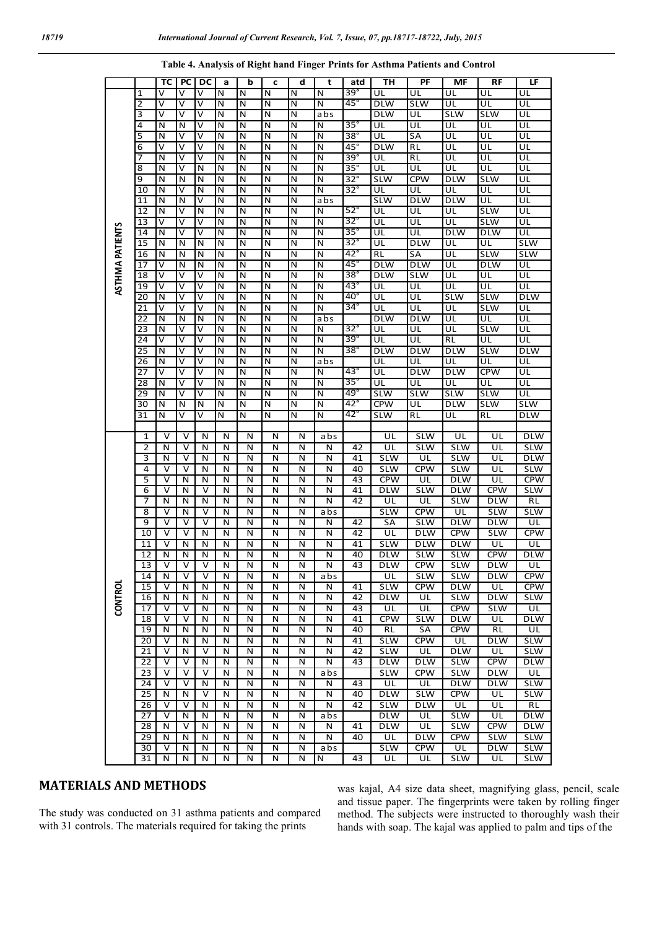|                 |                 | тс                      | PC                      | DC     | а                       | b                       | C                       | d              | t                            | atd                                     | ΤН                      | РF                       | МF                       | RF                      | LF                       |
|-----------------|-----------------|-------------------------|-------------------------|--------|-------------------------|-------------------------|-------------------------|----------------|------------------------------|-----------------------------------------|-------------------------|--------------------------|--------------------------|-------------------------|--------------------------|
|                 | 1               | v                       | v                       | V      | Ν                       | Ν                       | N                       | Ν              | N                            | 39°                                     | UL                      | UL                       | UL                       | UL                      | UL                       |
|                 | 2               | $\overline{\mathsf{v}}$ | ٧                       | v      | N                       | Ν                       | N                       | N              | N                            | $45^\circ$                              | <b>DLW</b>              | <b>SLW</b>               | $\overline{\mathsf{U}}$  | UL                      | $\overline{\mathsf{U}}$  |
|                 | 3               | ٧                       | v                       | v      | N                       | N                       | N                       | N              | a b s                        |                                         | <b>DLW</b>              | UL                       | <b>SLW</b>               | <b>SLW</b>              | UL                       |
|                 | 4               | Ν                       | N                       | v      | N                       | N                       | N                       | Ν              | N                            | $35^\circ$                              | UL                      | UL                       | UL                       | UL                      | UL                       |
|                 | 5               | N                       | ٧                       | V      | N                       | Ν                       | N                       | Ν              | N                            | $38^\circ$                              | UL                      | SA                       | UL                       | UL                      | UL                       |
|                 | 6               | $\overline{\mathsf{v}}$ | $\overline{\mathsf{v}}$ | ٧      | N                       | N                       | N                       | N              | N                            | $45^{\circ}$                            | DLW                     | RL                       | $\overline{\mathsf{U}}$  | UL                      | UL                       |
|                 | 7               | Ν                       | ٧                       | V      | N                       | N                       | N                       | N              | N                            | $39^\circ$                              | UL                      | <b>RL</b>                | UL                       | UL                      | UL                       |
|                 | 8               | N                       | ٧                       | N      | N                       | N                       | $\overline{\mathsf{N}}$ | N              | N                            | 35°                                     | UL                      | UL                       | $\overline{\mathsf{U}}$  | UL                      | UL                       |
|                 | 9               | N                       | Ν                       | N      | N                       | N                       | N                       | $\overline{N}$ | N                            | $32^\circ$                              | <b>SLW</b>              | <b>CPW</b>               | <b>DLW</b>               | <b>SLW</b>              | $\overline{\mathsf{U}}$  |
|                 | 10              | N                       | ٧                       | Ν      | N                       | N                       | $\overline{\mathsf{N}}$ | N              | N                            | 32°                                     | UL                      | $\overline{\mathsf{U}}$  | $\overline{\mathsf{U}}$  | UL                      | UL                       |
|                 | 11              | Ν                       | N                       | ٧      | N                       | Ν                       | N                       | N              | a b s                        |                                         | <b>SLW</b>              | <b>DLW</b>               | <b>DLW</b>               | UL                      | $\overline{\mathsf{U}}$  |
|                 | 12              | Ν                       | $\overline{\mathsf{v}}$ | N      | N                       | N                       | N                       | Ν              | N                            | $52^\circ$                              | UL                      | UL                       | UL                       | <b>SLW</b>              | UL                       |
|                 | 13              | ٧                       | ٧                       | v      | N                       | Ν                       | N                       | Ν              | N                            | $32^{\circ}$<br>$\overline{35^{\circ}}$ | UL                      | UL                       | $\overline{\mathsf{U}}$  | <b>SLW</b>              | $\overline{\mathsf{U}}$  |
| ASTHMA PATIENTS | 14              | N                       | $\overline{\mathsf{v}}$ | ٧      | N                       | N                       | $\overline{\mathsf{N}}$ | N              | Ñ                            | $32^{\circ}$                            | UL                      | $\overline{\mathsf{U}}$  | <b>DLW</b>               | <b>DLW</b>              | $\overline{\mathsf{U}}$  |
|                 | 15              | N<br>N                  | N<br>N                  | N      | N                       | N<br>N                  | N<br>N                  | Ν              | N<br>$\overline{\mathsf{N}}$ | $42^{\circ}$                            | UL<br><b>RL</b>         | <b>DLW</b><br>SA         | UL                       | UL<br>SLW               | <b>SLW</b><br><b>SLW</b> |
|                 | 16<br>17        | ٧                       | N                       | N<br>Ν | N<br>N                  | N                       | N                       | N<br>N         | N                            | $45^\circ$                              | <b>DLW</b>              | <b>DLW</b>               | UL<br>UL                 | <b>DLW</b>              | UL                       |
|                 | 18              | V                       | $\overline{\mathsf{v}}$ | V      | N                       | N                       | N                       | Ν              | N                            | $38^\circ$                              | DLW                     | <b>SLW</b>               | UL                       | UL                      | UL                       |
|                 | 19              | ٧                       | ٧                       | V      | N                       | N                       | Ν                       | Ν              | N                            | $43^{\circ}$                            | UL                      | UL                       | UL                       | UL                      | UL                       |
|                 | 20              | Ν                       | ٧                       | ٧      | N                       | N                       | N                       | N              | N                            | $40^{\circ}$                            | UL                      | UL                       | <b>SLW</b>               | <b>SLW</b>              | <b>DLW</b>               |
|                 | 21              | V                       | V                       | V      | N                       | N                       | N                       | Ν              | Ñ                            | $34^\circ$                              | UL                      | UL                       | UL                       | <b>SLW</b>              | UL                       |
|                 | 22              | N                       | N                       | Ν      | N                       | N                       | ${\sf N}$               | N              | a b s                        |                                         | <b>DLW</b>              | <b>DLW</b>               | UL                       | UL                      | UL                       |
|                 | 23              | Ν                       | ٧                       | V      | N                       | Ν                       | N                       | N              | N                            | $32^{\circ}$                            | UL                      | UL                       | UL                       | SLW                     | UL                       |
|                 | 24              | V                       | V                       | ٧      | N                       | Ν                       | N                       | N              | N                            | 39 <sup>°</sup>                         | UL                      | UL                       | RL                       | UL                      | UL                       |
|                 | 25              | N                       | ٧                       | V      | N                       | N                       | N                       | N              | $\overline{N}$               | 38°                                     | <b>DLW</b>              | <b>DLW</b>               | <b>DLW</b>               | <b>SLW</b>              | <b>DLW</b>               |
|                 | 26              | N                       | ٧                       | V      | Ν                       | N                       | Ñ                       | Ν              | a b s                        |                                         | UL                      | $\overline{\mathsf{U}}$  | $\overline{\mathsf{U}}$  | UL                      | $\overline{\mathsf{U}}$  |
|                 | 27              | ٧                       | $\overline{\mathsf{v}}$ | V      | Ν                       | N                       | N                       | N              | N                            | $43^{\circ}$                            | UL                      | <b>DLW</b>               | <b>DLW</b>               | <b>CPW</b>              | UL                       |
|                 | 28              | N                       | ٧                       | v      | N                       | N                       | N                       | N              | $\overline{N}$               | 35°                                     | UL                      | UL                       | UL                       | UL                      | UL                       |
|                 | 29              | N                       | ٧                       | v      | N                       | N                       | N                       | N              | N                            | 49°                                     | SLW                     | <b>SLW</b>               | <b>SLW</b>               | SLW                     | UL                       |
|                 | 30              | N                       | N                       | Ν      | N                       | Ν                       | $\overline{\mathsf{N}}$ | Ñ              | Ñ                            | $42^{\circ}$                            | <b>CPW</b>              | UL                       | <b>DLW</b>               | <b>SLW</b>              | <b>SLW</b>               |
|                 | 31              | N                       | ٧                       | ٧      | Ν                       | Ν                       | Ν                       | N              | Ν                            | $42^{\circ}$                            | <b>SLW</b>              | RL                       | UL                       | $\overline{RL}$         | <b>DLW</b>               |
|                 |                 |                         |                         |        |                         |                         |                         |                |                              |                                         |                         |                          |                          |                         |                          |
|                 | 1               | V                       | v                       | N      | N                       | N                       | N                       | N              | a b s                        |                                         | UL                      | <b>SLW</b>               | UL                       | UL                      | <b>DLW</b>               |
|                 | 2               | N                       | v                       | Ν      | Ν                       | N                       | N                       | N              | N                            | 42                                      | UL                      | <b>SLW</b>               | <b>SLW</b>               | $\overline{\mathsf{U}}$ | <b>SLW</b>               |
|                 | 3               | N                       | v                       | Ν      | N                       | N                       | N                       | N              | N                            | 41                                      | <b>SLW</b>              | UL                       | <b>SLW</b>               | UL                      | <b>DLW</b>               |
|                 | 4               | v                       | v                       | N      | Ν                       | Ν                       | N                       | N              | N                            | 40                                      | <b>SLW</b>              | <b>CPW</b>               | <b>SLW</b>               | UL                      | <b>SLW</b>               |
|                 | 5               | v                       | N                       | N      | N                       | Ν                       | N                       | N              | N                            | 43                                      | <b>CPW</b>              | UL                       | <b>DLW</b>               | UL                      | <b>CPW</b>               |
|                 | 6               | V                       | Ν                       | V      | Ν                       | Ν                       | ${\sf N}$               | N              | Ν                            | 41                                      | <b>DLW</b>              | <b>SLW</b>               | <b>DLW</b>               | <b>CPW</b>              | <b>SLW</b>               |
|                 | 7               | Ν                       | N                       | Ν      | Ν                       | N                       | N                       | N              | Ν                            | 42                                      | UL                      | UL                       | <b>SLW</b>               | <b>DLW</b>              | <b>RL</b>                |
|                 | 8               | v                       | N                       | v      | N                       | Ν                       | N                       | N              | a b s                        |                                         | <b>SLW</b>              | <b>CPW</b>               | UL                       | <b>SLW</b>              | <b>SLW</b>               |
|                 | 9               | v                       | v                       | v      | N                       | Ν                       | N                       | N              | N                            | 42                                      | SA                      | <b>SLW</b>               | <b>DLW</b>               | <b>DLW</b>              | UL                       |
|                 | 10<br>11        | v<br>$\vee$             | v                       | Ν      | Ν                       | Ν                       | N                       | N              | N                            | 42<br>41                                | UL<br><b>SLW</b>        | <b>DLW</b><br><b>DLW</b> | <b>CPW</b><br><b>DLW</b> | <b>SLW</b><br>UL        | <b>CPW</b><br>UL         |
|                 | 12              | N                       | N<br>N                  | N<br>N | N<br>Ν                  | N<br>Ν                  | N<br>N                  | N<br>N         | N<br>Ν                       | 40                                      | <b>DLW</b>              | <b>SLW</b>               | <b>SLW</b>               | <b>CPW</b>              | <b>DLW</b>               |
|                 | 13              | v                       | v                       | v      | Ν                       | Ν                       | Ν                       | N              | Ν                            | 43                                      | <b>DLW</b>              | CPW                      | <b>SLW</b>               | <b>DLW</b>              | UL                       |
|                 | 14              | N                       | v                       | v      | N                       | N                       | Ν                       | N              | abs                          |                                         | UL                      | <b>SLW</b>               | <b>SLW</b>               | <b>DLW</b>              | <b>CPW</b>               |
|                 | 15              | v                       | N                       | Ν      | N                       | N                       | N                       | N              | Ν                            | 41                                      | <b>SLW</b>              | <b>CPW</b>               | <b>DLW</b>               | UL                      | <b>CPW</b>               |
| <b>CONTROL</b>  | 16              | N                       | N                       | N      | N                       | N                       | Ν                       | N              | N                            | 42                                      | <b>DLW</b>              | $\overline{\mathsf{U}}$  | <b>SLW</b>               | <b>DLW</b>              | <b>SLW</b>               |
|                 | 17              | v                       | v                       | Ν      | Ν                       | $\overline{\mathsf{N}}$ | N                       | N              | N                            | 43                                      | $\overline{u}$          |                          | <b>CPW</b>               | <b>SLW</b>              | UL                       |
|                 | 18              | $\vee$                  | v                       | N      | N                       | N                       | N                       | N              | N                            | 41                                      | <b>CPW</b>              | <b>SLW</b>               | <b>DLW</b>               | $\overline{\mathsf{U}}$ | <b>DLW</b>               |
|                 | 19              | N                       | N                       | N      | N                       | N                       | N                       | N              | N                            | 40                                      | RL                      | SA                       | <b>CPW</b>               | RL                      | UL                       |
|                 | 20              | v                       | N                       | Ν      | Ν                       | $\overline{\mathsf{N}}$ | N                       | N              | N                            | 41                                      | <b>SLW</b>              | <b>CPW</b>               | UL                       | <b>DLW</b>              | <b>SLW</b>               |
|                 | 21              | V                       | N                       | v      | N                       | $\overline{\mathsf{N}}$ | N                       | N              | N                            | 42                                      | <b>SLW</b>              | $\overline{\mathsf{U}}$  | <b>DLW</b>               | $\overline{\mathsf{U}}$ | <b>SLW</b>               |
|                 | 22              | v                       | v                       | N      | Ν                       | N                       | N                       | N              | N                            | 43                                      | <b>DLW</b>              | <b>DLW</b>               | <b>SLW</b>               | <b>CPW</b>              | <b>DLW</b>               |
|                 | 23              | v                       | v                       | v      | N                       | N                       | N                       | N              | abs                          |                                         | <b>SLW</b>              | <b>CPW</b>               | <b>SLW</b>               | <b>DLW</b>              | UL                       |
|                 | 24              | $\vee$                  | v                       | N      | N                       | $\overline{\mathsf{N}}$ | N                       | N              | N                            | 43                                      | $\overline{\mathsf{U}}$ | $\overline{\mathsf{U}}$  | <b>DLW</b>               | <b>DLW</b>              | <b>SLW</b>               |
|                 | $\overline{25}$ | Ν                       | Ν                       | v      | $\overline{\mathsf{N}}$ | N                       | N                       | N              | Ν                            | 40                                      | <b>DLW</b>              | <b>SLW</b>               | <b>CPW</b>               | UL                      | <b>SLW</b>               |
|                 | 26              | v                       | v                       | N      | N                       | N                       | N                       | N              | N                            | 42                                      | <b>SLW</b>              | <b>DLW</b>               | $\overline{\mathsf{U}}$  | UL                      | <b>RL</b>                |
|                 | $\overline{27}$ | $\vee$                  | N                       | N      | N                       | N                       | N                       | N              | abs                          |                                         | <b>DLW</b>              | UL                       | <b>SLW</b>               | UL                      | <b>DLW</b>               |
|                 | 28              | Ν                       | v                       | N      | Ν                       | N                       | N                       | N              | Ν                            | 41                                      | <b>DLW</b>              | UL                       | <b>SLW</b>               | <b>CPW</b>              | <b>DLW</b>               |
|                 | 29              | N                       | N                       | N      | N                       | N                       | N                       | N              | N                            | 40                                      | UL                      | <b>DLW</b>               | <b>CPW</b>               | <b>SLW</b>              | <b>SLW</b>               |
|                 | 30              | v                       | N                       | N      | ${\sf N}$               | N                       | N                       | N              | abs                          |                                         | <b>SLW</b>              | <b>CPW</b>               | UL                       | <b>DLW</b>              | <b>SLW</b>               |
|                 | $\overline{31}$ | Ν                       | Ν                       | N      | N                       | N                       | N                       | N              | N                            | 43                                      | $\overline{\mathsf{U}}$ | UL                       | <b>SLW</b>               | $\overline{\mathsf{U}}$ | <b>SLW</b>               |

Table 4. Analysis of Right hand Finger Prints for Asthma Patients and Control

## MATERIALS AND METHODS

The study was conducted on 31 asthma patients and compared with 31 controls. The materials required for taking the prints

was kajal, A4 size data sheet, magnifying glass, pencil, scale and tissue paper. The fingerprints were taken by rolling finger method. The subjects were instructed to thoroughly wash their hands with soap. The kajal was applied to palm and tips of the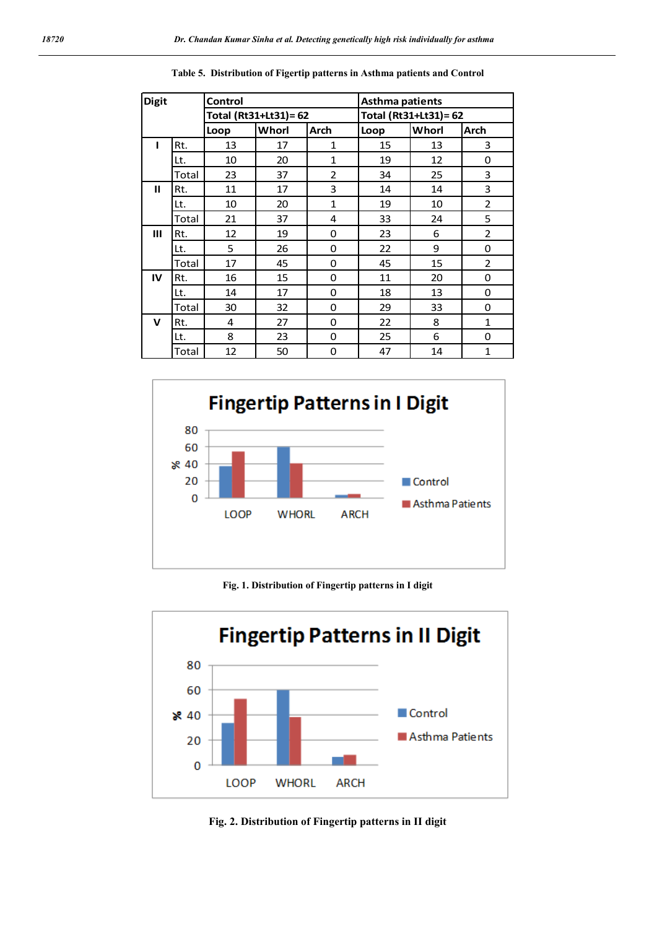| <b>Digit</b> |       | Control |                       |                | <b>Asthma patients</b> |       |                |  |
|--------------|-------|---------|-----------------------|----------------|------------------------|-------|----------------|--|
|              |       |         | Total (Rt31+Lt31)= 62 |                | Total (Rt31+Lt31)= 62  |       |                |  |
|              |       | Loop    | Whorl                 | Arch           | Loop                   | Whorl | Arch           |  |
| ı            | Rt.   | 13      | 17                    | 1              | 15                     | 13    | 3              |  |
|              | Lt.   | 10      | 20                    | 1              | 19                     | 12    | 0              |  |
|              | Total | 23      | 37                    | $\overline{2}$ | 34                     | 25    | 3              |  |
| $\mathbf{H}$ | Rt.   | 11      | 17                    | 3              | 14                     | 14    | 3              |  |
|              | Lt.   | 10      | 20                    | $\mathbf{1}$   | 19                     | 10    | $\overline{2}$ |  |
|              | Total | 21      | 37                    | 4              | 33                     | 24    | 5              |  |
| Ш            | Rt.   | 12      | 19                    | 0              | 23                     | 6     | $\overline{2}$ |  |
|              | Lt.   | 5       | 26                    | 0              | 22                     | 9     | 0              |  |
|              | Total | 17      | 45                    | 0              | 45                     | 15    | $\overline{2}$ |  |
| IV           | Rt.   | 16      | 15                    | 0              | 11                     | 20    | 0              |  |
|              | Lt.   | 14      | 17                    | $\Omega$       | 18                     | 13    | 0              |  |
|              | Total | 30      | 32                    | $\Omega$       | 29                     | 33    | 0              |  |
| $\mathbf v$  | Rt.   | 4       | 27                    | 0              | 22                     | 8     | $\mathbf{1}$   |  |
|              | Lt.   | 8       | 23                    | 0              | 25                     | 6     | 0              |  |
|              | Total | 12      | 50                    | 0              | 47                     | 14    | $\mathbf{1}$   |  |

Table 5. Distribution of Figertip patterns in Asthma patients and Control



Fig. 1. Distribution of Fingertip patterns in I digit



Fig. 2. Distribution of Fingertip patterns in II digit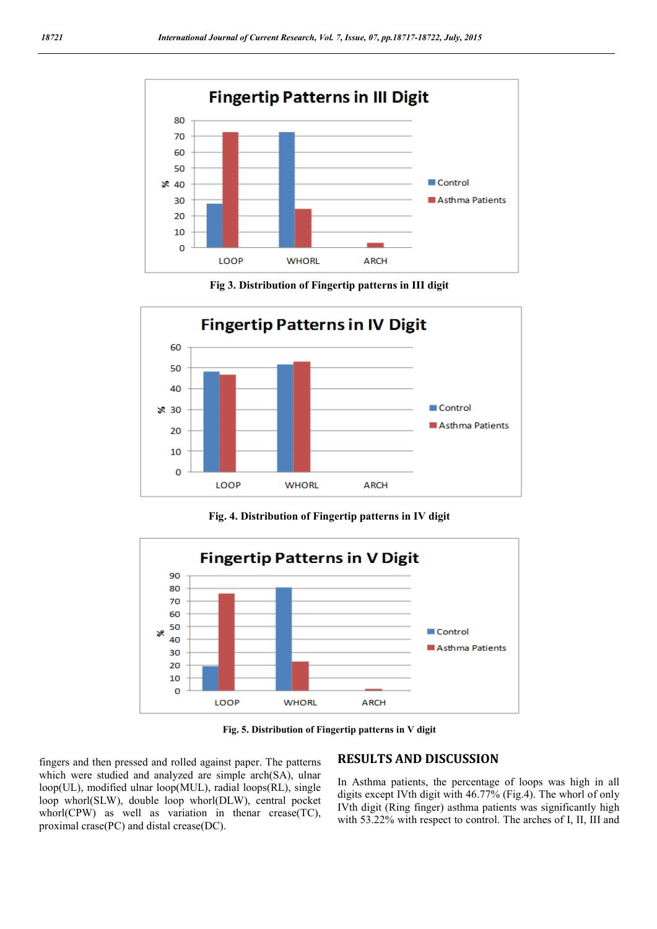

Fig 3. Distribution of Fingertip patterns in III digit



Fig. 4. Distribution of Fingertip patterns in IV digit



Fig. 5. Distribution of Fingertip patterns in V digit

fingers and then pressed and rolled against paper. The patterns which were studied and analyzed are simple arch(SA), ulnar loop(UL), modified ulnar loop(MUL), radial loops(RL), single loop whorl(SLW), double loop whorl(DLW), central pocket whorl(CPW) as well as variation in thenar crease(TC), proximal crase(PC) and distal crease(DC).

## RESULTS AND DISCUSSION

In Asthma patients, the percentage of loops was high in all digits except IVth digit with 46.77% (Fig.4). The whorl of only IVth digit (Ring finger) asthma patients was significantly high with 53.22% with respect to control. The arches of I, II, III and